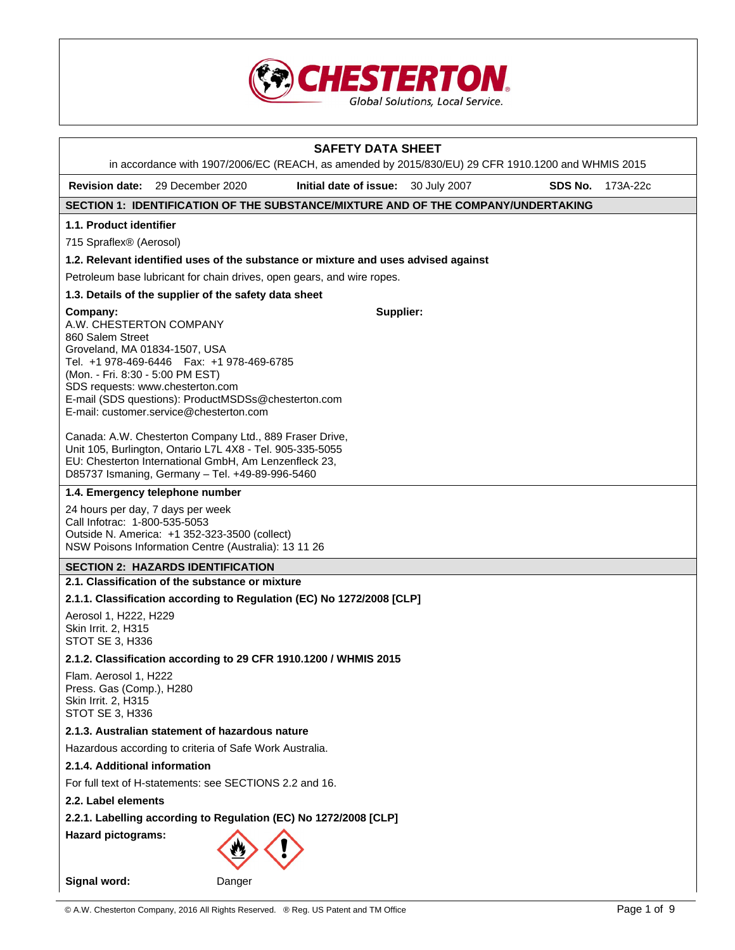

|                                                                                                                  |                                                                                                                                                                                                                                  | <b>SAFETY DATA SHEET</b>                                                                                                                  |  |         |          |
|------------------------------------------------------------------------------------------------------------------|----------------------------------------------------------------------------------------------------------------------------------------------------------------------------------------------------------------------------------|-------------------------------------------------------------------------------------------------------------------------------------------|--|---------|----------|
| <b>Revision date:</b>                                                                                            | 29 December 2020                                                                                                                                                                                                                 | in accordance with 1907/2006/EC (REACH, as amended by 2015/830/EU) 29 CFR 1910.1200 and WHMIS 2015<br>Initial date of issue: 30 July 2007 |  | SDS No. | 173A-22c |
|                                                                                                                  |                                                                                                                                                                                                                                  | SECTION 1: IDENTIFICATION OF THE SUBSTANCE/MIXTURE AND OF THE COMPANY/UNDERTAKING                                                         |  |         |          |
| 1.1. Product identifier                                                                                          |                                                                                                                                                                                                                                  |                                                                                                                                           |  |         |          |
| 715 Spraflex <sup>®</sup> (Aerosol)                                                                              |                                                                                                                                                                                                                                  |                                                                                                                                           |  |         |          |
|                                                                                                                  |                                                                                                                                                                                                                                  | 1.2. Relevant identified uses of the substance or mixture and uses advised against                                                        |  |         |          |
|                                                                                                                  |                                                                                                                                                                                                                                  | Petroleum base lubricant for chain drives, open gears, and wire ropes.                                                                    |  |         |          |
|                                                                                                                  | 1.3. Details of the supplier of the safety data sheet                                                                                                                                                                            |                                                                                                                                           |  |         |          |
| Company:                                                                                                         |                                                                                                                                                                                                                                  | Supplier:                                                                                                                                 |  |         |          |
| A.W. CHESTERTON COMPANY<br>860 Salem Street<br>Groveland, MA 01834-1507, USA<br>(Mon. - Fri. 8:30 - 5:00 PM EST) | Tel. +1 978-469-6446   Fax: +1 978-469-6785<br>SDS requests: www.chesterton.com<br>E-mail (SDS questions): ProductMSDSs@chesterton.com<br>E-mail: customer.service@chesterton.com                                                |                                                                                                                                           |  |         |          |
|                                                                                                                  | Canada: A.W. Chesterton Company Ltd., 889 Fraser Drive,<br>Unit 105, Burlington, Ontario L7L 4X8 - Tel. 905-335-5055<br>EU: Chesterton International GmbH, Am Lenzenfleck 23,<br>D85737 Ismaning, Germany - Tel. +49-89-996-5460 |                                                                                                                                           |  |         |          |
|                                                                                                                  | 1.4. Emergency telephone number                                                                                                                                                                                                  |                                                                                                                                           |  |         |          |
| Call Infotrac: 1-800-535-5053                                                                                    | 24 hours per day, 7 days per week<br>Outside N. America: +1 352-323-3500 (collect)<br>NSW Poisons Information Centre (Australia): 13 11 26                                                                                       |                                                                                                                                           |  |         |          |
|                                                                                                                  | <b>SECTION 2: HAZARDS IDENTIFICATION</b>                                                                                                                                                                                         |                                                                                                                                           |  |         |          |
|                                                                                                                  | 2.1. Classification of the substance or mixture                                                                                                                                                                                  |                                                                                                                                           |  |         |          |
|                                                                                                                  |                                                                                                                                                                                                                                  | 2.1.1. Classification according to Regulation (EC) No 1272/2008 [CLP]                                                                     |  |         |          |
| Aerosol 1, H222, H229<br>Skin Irrit. 2, H315<br>STOT SE 3, H336                                                  |                                                                                                                                                                                                                                  |                                                                                                                                           |  |         |          |
|                                                                                                                  |                                                                                                                                                                                                                                  | 2.1.2. Classification according to 29 CFR 1910.1200 / WHMIS 2015                                                                          |  |         |          |
| Flam. Aerosol 1, H222<br>Press. Gas (Comp.), H280<br><b>Skin Irrit. 2, H315</b><br>STOT SE 3, H336               |                                                                                                                                                                                                                                  |                                                                                                                                           |  |         |          |
|                                                                                                                  | 2.1.3. Australian statement of hazardous nature                                                                                                                                                                                  |                                                                                                                                           |  |         |          |
| Hazardous according to criteria of Safe Work Australia.                                                          |                                                                                                                                                                                                                                  |                                                                                                                                           |  |         |          |
| 2.1.4. Additional information                                                                                    |                                                                                                                                                                                                                                  |                                                                                                                                           |  |         |          |
| For full text of H-statements: see SECTIONS 2.2 and 16.                                                          |                                                                                                                                                                                                                                  |                                                                                                                                           |  |         |          |
| 2.2. Label elements                                                                                              |                                                                                                                                                                                                                                  |                                                                                                                                           |  |         |          |
|                                                                                                                  | 2.2.1. Labelling according to Regulation (EC) No 1272/2008 [CLP]                                                                                                                                                                 |                                                                                                                                           |  |         |          |
| <b>Hazard pictograms:</b>                                                                                        |                                                                                                                                                                                                                                  |                                                                                                                                           |  |         |          |
| Signal word:                                                                                                     | Danger                                                                                                                                                                                                                           |                                                                                                                                           |  |         |          |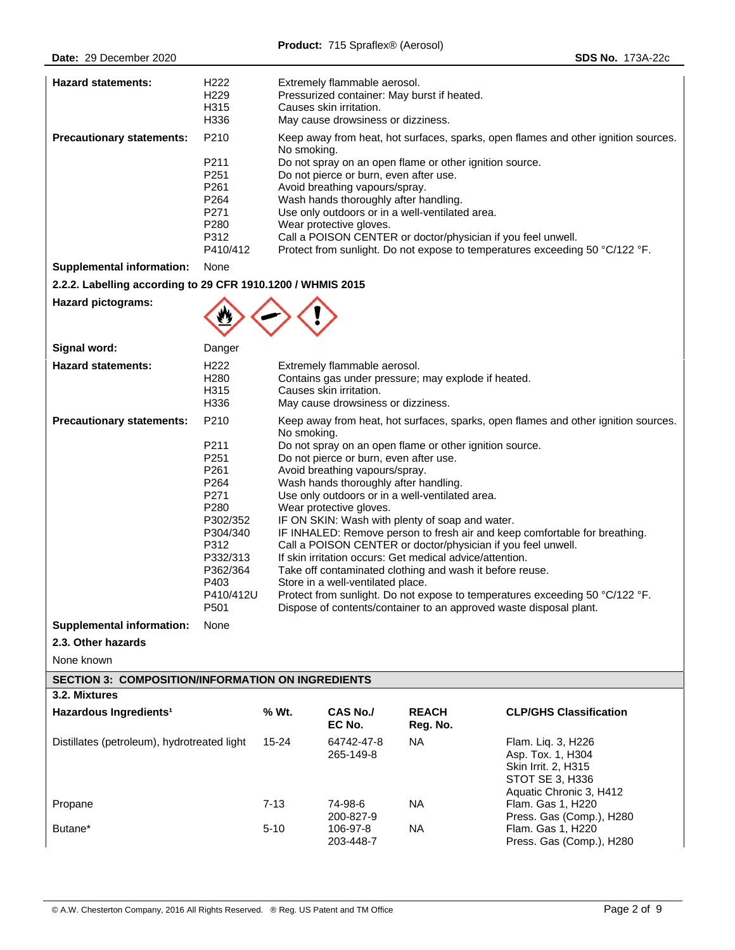| <b>Hazard statements:</b>                                                                                | H222<br>H229<br>H315<br>H336                                                                                                                      |                                                                                                                                                                                                                                                                                                                                                                                                                                                                                                                                                                                                                                                                                                                                                                                                                                                                                     | Extremely flammable aerosol.<br>Pressurized container: May burst if heated.<br>Causes skin irritation.<br>May cause drowsiness or dizziness. |                          |                                                                                                              |  |
|----------------------------------------------------------------------------------------------------------|---------------------------------------------------------------------------------------------------------------------------------------------------|-------------------------------------------------------------------------------------------------------------------------------------------------------------------------------------------------------------------------------------------------------------------------------------------------------------------------------------------------------------------------------------------------------------------------------------------------------------------------------------------------------------------------------------------------------------------------------------------------------------------------------------------------------------------------------------------------------------------------------------------------------------------------------------------------------------------------------------------------------------------------------------|----------------------------------------------------------------------------------------------------------------------------------------------|--------------------------|--------------------------------------------------------------------------------------------------------------|--|
| <b>Precautionary statements:</b>                                                                         | P210                                                                                                                                              | Keep away from heat, hot surfaces, sparks, open flames and other ignition sources.                                                                                                                                                                                                                                                                                                                                                                                                                                                                                                                                                                                                                                                                                                                                                                                                  |                                                                                                                                              |                          |                                                                                                              |  |
|                                                                                                          | P211<br>P251<br>P261<br>P264<br>P271<br>P280<br>P312<br>P410/412                                                                                  | No smoking.<br>Do not spray on an open flame or other ignition source.<br>Do not pierce or burn, even after use.<br>Avoid breathing vapours/spray.<br>Wash hands thoroughly after handling.<br>Use only outdoors or in a well-ventilated area.<br>Wear protective gloves.<br>Call a POISON CENTER or doctor/physician if you feel unwell.<br>Protect from sunlight. Do not expose to temperatures exceeding 50 °C/122 °F.                                                                                                                                                                                                                                                                                                                                                                                                                                                           |                                                                                                                                              |                          |                                                                                                              |  |
| <b>Supplemental information:</b>                                                                         | None                                                                                                                                              |                                                                                                                                                                                                                                                                                                                                                                                                                                                                                                                                                                                                                                                                                                                                                                                                                                                                                     |                                                                                                                                              |                          |                                                                                                              |  |
| 2.2.2. Labelling according to 29 CFR 1910.1200 / WHMIS 2015                                              |                                                                                                                                                   |                                                                                                                                                                                                                                                                                                                                                                                                                                                                                                                                                                                                                                                                                                                                                                                                                                                                                     |                                                                                                                                              |                          |                                                                                                              |  |
| <b>Hazard pictograms:</b>                                                                                |                                                                                                                                                   |                                                                                                                                                                                                                                                                                                                                                                                                                                                                                                                                                                                                                                                                                                                                                                                                                                                                                     |                                                                                                                                              |                          |                                                                                                              |  |
| Signal word:                                                                                             | Danger                                                                                                                                            |                                                                                                                                                                                                                                                                                                                                                                                                                                                                                                                                                                                                                                                                                                                                                                                                                                                                                     |                                                                                                                                              |                          |                                                                                                              |  |
| <b>Hazard statements:</b>                                                                                | H <sub>222</sub><br>H <sub>280</sub><br>H315<br>H336                                                                                              | Extremely flammable aerosol.<br>Contains gas under pressure; may explode if heated.<br>Causes skin irritation.<br>May cause drowsiness or dizziness.                                                                                                                                                                                                                                                                                                                                                                                                                                                                                                                                                                                                                                                                                                                                |                                                                                                                                              |                          |                                                                                                              |  |
| <b>Precautionary statements:</b><br><b>Supplemental information:</b><br>2.3. Other hazards<br>None known | P210<br>P211<br>P251<br>P261<br>P264<br>P271<br>P280<br>P302/352<br>P304/340<br>P312<br>P332/313<br>P362/364<br>P403<br>P410/412U<br>P501<br>None | Keep away from heat, hot surfaces, sparks, open flames and other ignition sources.<br>No smoking.<br>Do not spray on an open flame or other ignition source.<br>Do not pierce or burn, even after use.<br>Avoid breathing vapours/spray.<br>Wash hands thoroughly after handling.<br>Use only outdoors or in a well-ventilated area.<br>Wear protective gloves.<br>IF ON SKIN: Wash with plenty of soap and water.<br>IF INHALED: Remove person to fresh air and keep comfortable for breathing.<br>Call a POISON CENTER or doctor/physician if you feel unwell.<br>If skin irritation occurs: Get medical advice/attention.<br>Take off contaminated clothing and wash it before reuse.<br>Store in a well-ventilated place.<br>Protect from sunlight. Do not expose to temperatures exceeding 50 °C/122 °F.<br>Dispose of contents/container to an approved waste disposal plant. |                                                                                                                                              |                          |                                                                                                              |  |
| <b>SECTION 3: COMPOSITION/INFORMATION ON INGREDIENTS</b>                                                 |                                                                                                                                                   |                                                                                                                                                                                                                                                                                                                                                                                                                                                                                                                                                                                                                                                                                                                                                                                                                                                                                     |                                                                                                                                              |                          |                                                                                                              |  |
| 3.2. Mixtures                                                                                            |                                                                                                                                                   |                                                                                                                                                                                                                                                                                                                                                                                                                                                                                                                                                                                                                                                                                                                                                                                                                                                                                     |                                                                                                                                              |                          |                                                                                                              |  |
| Hazardous Ingredients <sup>1</sup>                                                                       |                                                                                                                                                   | % Wt.                                                                                                                                                                                                                                                                                                                                                                                                                                                                                                                                                                                                                                                                                                                                                                                                                                                                               | <b>CAS No./</b><br>EC No.                                                                                                                    | <b>REACH</b><br>Reg. No. | <b>CLP/GHS Classification</b>                                                                                |  |
| Distillates (petroleum), hydrotreated light                                                              |                                                                                                                                                   | 15-24                                                                                                                                                                                                                                                                                                                                                                                                                                                                                                                                                                                                                                                                                                                                                                                                                                                                               | 64742-47-8<br>265-149-8                                                                                                                      | <b>NA</b>                | Flam. Lig. 3, H226<br>Asp. Tox. 1, H304<br>Skin Irrit. 2, H315<br>STOT SE 3, H336<br>Aquatic Chronic 3, H412 |  |
| Propane                                                                                                  |                                                                                                                                                   | $7 - 13$                                                                                                                                                                                                                                                                                                                                                                                                                                                                                                                                                                                                                                                                                                                                                                                                                                                                            | 74-98-6                                                                                                                                      | <b>NA</b>                | Flam. Gas 1, H220                                                                                            |  |
| Butane*                                                                                                  |                                                                                                                                                   | $5 - 10$                                                                                                                                                                                                                                                                                                                                                                                                                                                                                                                                                                                                                                                                                                                                                                                                                                                                            | 200-827-9<br>106-97-8<br>203-448-7                                                                                                           | <b>NA</b>                | Press. Gas (Comp.), H280<br>Flam. Gas 1, H220<br>Press. Gas (Comp.), H280                                    |  |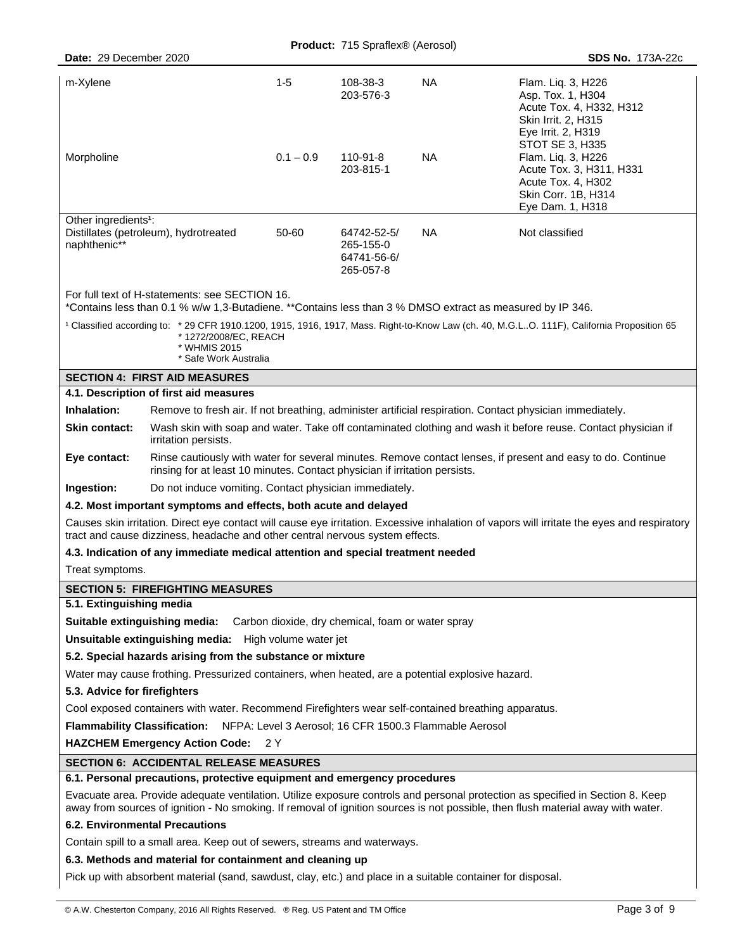**Product:** 715 Spraflex® (Aerosol)

| Date: 29 December 2020                                                                                                                                     |                                                                                                                                                                                                                              |             |                                                   |           | <b>SDS No. 173A-22c</b>                                                                                                                                                                                                                                            |  |
|------------------------------------------------------------------------------------------------------------------------------------------------------------|------------------------------------------------------------------------------------------------------------------------------------------------------------------------------------------------------------------------------|-------------|---------------------------------------------------|-----------|--------------------------------------------------------------------------------------------------------------------------------------------------------------------------------------------------------------------------------------------------------------------|--|
| m-Xylene                                                                                                                                                   |                                                                                                                                                                                                                              | $1-5$       | 108-38-3<br>203-576-3                             | <b>NA</b> | Flam. Lig. 3, H226<br>Asp. Tox. 1, H304<br>Acute Tox. 4, H332, H312<br>Skin Irrit. 2, H315<br>Eye Irrit. 2, H319<br>STOT SE 3, H335                                                                                                                                |  |
| Morpholine                                                                                                                                                 |                                                                                                                                                                                                                              | $0.1 - 0.9$ | 110-91-8<br>203-815-1                             | <b>NA</b> | Flam. Liq. 3, H226<br>Acute Tox. 3, H311, H331<br>Acute Tox. 4, H302<br>Skin Corr. 1B, H314<br>Eye Dam. 1, H318                                                                                                                                                    |  |
| Other ingredients <sup>1</sup> :<br>Distillates (petroleum), hydrotreated<br>50-60<br>64742-52-5/<br>naphthenic**<br>265-155-0<br>64741-56-6/<br>265-057-8 |                                                                                                                                                                                                                              |             |                                                   | <b>NA</b> | Not classified                                                                                                                                                                                                                                                     |  |
|                                                                                                                                                            | For full text of H-statements: see SECTION 16.<br>*Contains less than 0.1 % w/w 1,3-Butadiene. **Contains less than 3 % DMSO extract as measured by IP 346.                                                                  |             |                                                   |           |                                                                                                                                                                                                                                                                    |  |
|                                                                                                                                                            | *1272/2008/EC, REACH<br>* WHMIS 2015<br>* Safe Work Australia                                                                                                                                                                |             |                                                   |           | <sup>1</sup> Classified according to: * 29 CFR 1910.1200, 1915, 1916, 1917, Mass. Right-to-Know Law (ch. 40, M.G.LO. 111F), California Proposition 65                                                                                                              |  |
|                                                                                                                                                            | <b>SECTION 4: FIRST AID MEASURES</b>                                                                                                                                                                                         |             |                                                   |           |                                                                                                                                                                                                                                                                    |  |
|                                                                                                                                                            | 4.1. Description of first aid measures                                                                                                                                                                                       |             |                                                   |           |                                                                                                                                                                                                                                                                    |  |
| Inhalation:                                                                                                                                                | Remove to fresh air. If not breathing, administer artificial respiration. Contact physician immediately.                                                                                                                     |             |                                                   |           |                                                                                                                                                                                                                                                                    |  |
| <b>Skin contact:</b>                                                                                                                                       | Wash skin with soap and water. Take off contaminated clothing and wash it before reuse. Contact physician if<br>irritation persists.                                                                                         |             |                                                   |           |                                                                                                                                                                                                                                                                    |  |
| Eye contact:                                                                                                                                               | Rinse cautiously with water for several minutes. Remove contact lenses, if present and easy to do. Continue<br>rinsing for at least 10 minutes. Contact physician if irritation persists.                                    |             |                                                   |           |                                                                                                                                                                                                                                                                    |  |
| Ingestion:                                                                                                                                                 | Do not induce vomiting. Contact physician immediately.                                                                                                                                                                       |             |                                                   |           |                                                                                                                                                                                                                                                                    |  |
| 4.2. Most important symptoms and effects, both acute and delayed                                                                                           |                                                                                                                                                                                                                              |             |                                                   |           |                                                                                                                                                                                                                                                                    |  |
|                                                                                                                                                            | Causes skin irritation. Direct eye contact will cause eye irritation. Excessive inhalation of vapors will irritate the eyes and respiratory<br>tract and cause dizziness, headache and other central nervous system effects. |             |                                                   |           |                                                                                                                                                                                                                                                                    |  |
|                                                                                                                                                            | 4.3. Indication of any immediate medical attention and special treatment needed                                                                                                                                              |             |                                                   |           |                                                                                                                                                                                                                                                                    |  |
|                                                                                                                                                            | Treat symptoms.                                                                                                                                                                                                              |             |                                                   |           |                                                                                                                                                                                                                                                                    |  |
| <b>SECTION 5: FIREFIGHTING MEASURES</b>                                                                                                                    |                                                                                                                                                                                                                              |             |                                                   |           |                                                                                                                                                                                                                                                                    |  |
| 5.1. Extinguishing media                                                                                                                                   |                                                                                                                                                                                                                              |             |                                                   |           |                                                                                                                                                                                                                                                                    |  |
|                                                                                                                                                            | Suitable extinguishing media:                                                                                                                                                                                                |             | Carbon dioxide, dry chemical, foam or water spray |           |                                                                                                                                                                                                                                                                    |  |
|                                                                                                                                                            | Unsuitable extinguishing media: High volume water jet                                                                                                                                                                        |             |                                                   |           |                                                                                                                                                                                                                                                                    |  |
|                                                                                                                                                            | 5.2. Special hazards arising from the substance or mixture                                                                                                                                                                   |             |                                                   |           |                                                                                                                                                                                                                                                                    |  |
|                                                                                                                                                            | Water may cause frothing. Pressurized containers, when heated, are a potential explosive hazard.                                                                                                                             |             |                                                   |           |                                                                                                                                                                                                                                                                    |  |
| 5.3. Advice for firefighters                                                                                                                               |                                                                                                                                                                                                                              |             |                                                   |           |                                                                                                                                                                                                                                                                    |  |
|                                                                                                                                                            | Cool exposed containers with water. Recommend Firefighters wear self-contained breathing apparatus.                                                                                                                          |             |                                                   |           |                                                                                                                                                                                                                                                                    |  |
|                                                                                                                                                            | <b>Flammability Classification:</b><br>NFPA: Level 3 Aerosol; 16 CFR 1500.3 Flammable Aerosol                                                                                                                                |             |                                                   |           |                                                                                                                                                                                                                                                                    |  |
| <b>HAZCHEM Emergency Action Code:</b><br>2 Y                                                                                                               |                                                                                                                                                                                                                              |             |                                                   |           |                                                                                                                                                                                                                                                                    |  |
|                                                                                                                                                            | <b>SECTION 6: ACCIDENTAL RELEASE MEASURES</b><br>6.1. Personal precautions, protective equipment and emergency procedures                                                                                                    |             |                                                   |           |                                                                                                                                                                                                                                                                    |  |
|                                                                                                                                                            |                                                                                                                                                                                                                              |             |                                                   |           | Evacuate area. Provide adequate ventilation. Utilize exposure controls and personal protection as specified in Section 8. Keep<br>away from sources of ignition - No smoking. If removal of ignition sources is not possible, then flush material away with water. |  |
|                                                                                                                                                            | <b>6.2. Environmental Precautions</b>                                                                                                                                                                                        |             |                                                   |           |                                                                                                                                                                                                                                                                    |  |
|                                                                                                                                                            | Contain spill to a small area. Keep out of sewers, streams and waterways.                                                                                                                                                    |             |                                                   |           |                                                                                                                                                                                                                                                                    |  |
| 6.3. Methods and material for containment and cleaning up                                                                                                  |                                                                                                                                                                                                                              |             |                                                   |           |                                                                                                                                                                                                                                                                    |  |
| Pick up with absorbent material (sand, sawdust, clay, etc.) and place in a suitable container for disposal.                                                |                                                                                                                                                                                                                              |             |                                                   |           |                                                                                                                                                                                                                                                                    |  |
|                                                                                                                                                            |                                                                                                                                                                                                                              |             |                                                   |           |                                                                                                                                                                                                                                                                    |  |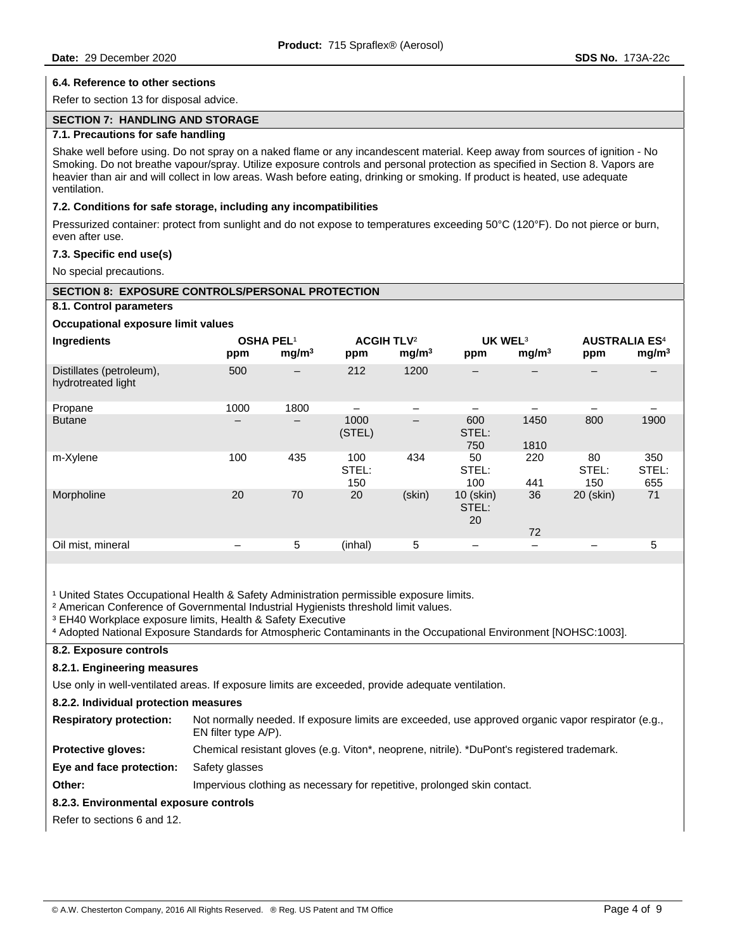#### **6.4. Reference to other sections**

Refer to section 13 for disposal advice.

#### **SECTION 7: HANDLING AND STORAGE**

# **7.1. Precautions for safe handling**

Shake well before using. Do not spray on a naked flame or any incandescent material. Keep away from sources of ignition - No Smoking. Do not breathe vapour/spray. Utilize exposure controls and personal protection as specified in Section 8. Vapors are heavier than air and will collect in low areas. Wash before eating, drinking or smoking. If product is heated, use adequate ventilation.

#### **7.2. Conditions for safe storage, including any incompatibilities**

Pressurized container: protect from sunlight and do not expose to temperatures exceeding 50°C (120°F). Do not pierce or burn, even after use.

#### **7.3. Specific end use(s)**

No special precautions.

# **SECTION 8: EXPOSURE CONTROLS/PERSONAL PROTECTION**

#### **8.1. Control parameters**

# **Occupational exposure limit values**

| Ingredients                                    | <b>OSHA PEL1</b><br>ppm | mg/m <sup>3</sup> | <b>ACGIH TLV<sup>2</sup></b><br>ppm | mg/m <sup>3</sup>        | <b>UK WEL3</b><br>ppm    | mg/m <sup>3</sup> | <b>AUSTRALIA ES<sup>4</sup></b><br>ppm | mg/m <sup>3</sup>   |
|------------------------------------------------|-------------------------|-------------------|-------------------------------------|--------------------------|--------------------------|-------------------|----------------------------------------|---------------------|
| Distillates (petroleum),<br>hydrotreated light | 500                     | —                 | 212                                 | 1200                     |                          | –                 | -                                      |                     |
| Propane                                        | 1000                    | 1800              |                                     |                          |                          |                   |                                        |                     |
| <b>Butane</b>                                  | —                       | $\qquad \qquad -$ | 1000<br>(STEL)                      | $\overline{\phantom{m}}$ | 600<br>STEL:<br>750      | 1450<br>1810      | 800                                    | 1900                |
| m-Xylene                                       | 100                     | 435               | 100<br>STEL:<br>150                 | 434                      | 50<br>STEL:<br>100       | 220<br>441        | 80<br>STEL:<br>150                     | 350<br>STEL:<br>655 |
| Morpholine                                     | 20                      | 70                | 20                                  | (skin)                   | 10 (skin)<br>STEL:<br>20 | 36<br>72          | 20 (skin)                              | 71                  |
| Oil mist, mineral                              | -                       | 5                 | (inhal)                             | 5                        | $\overline{\phantom{0}}$ | $\qquad \qquad -$ | -                                      | 5                   |
|                                                |                         |                   |                                     |                          |                          |                   |                                        |                     |

<sup>1</sup> United States Occupational Health & Safety Administration permissible exposure limits.

<sup>2</sup> American Conference of Governmental Industrial Hygienists threshold limit values.

<sup>3</sup> EH40 Workplace exposure limits, Health & Safety Executive

```
⁴ Adopted National Exposure Standards for Atmospheric Contaminants in the Occupational Environment [NOHSC:1003].
```
# **8.2. Exposure controls**

# **8.2.1. Engineering measures**

Use only in well-ventilated areas. If exposure limits are exceeded, provide adequate ventilation.

#### **8.2.2. Individual protection measures**

| <b>Respiratory protection:</b> | Not normally needed. If exposure limits are exceeded, use approved organic vapor respirator (e.g.,<br>EN filter type A/P). |
|--------------------------------|----------------------------------------------------------------------------------------------------------------------------|
|                                |                                                                                                                            |

**Protective gloves:** Chemical resistant gloves (e.g. Viton\*, neoprene, nitrile). \*DuPont's registered trademark.

**Eye and face protection:** Safety glasses

**Other: Impervious clothing as necessary for repetitive, prolonged skin contact.** 

# **8.2.3. Environmental exposure controls**

Refer to sections 6 and 12.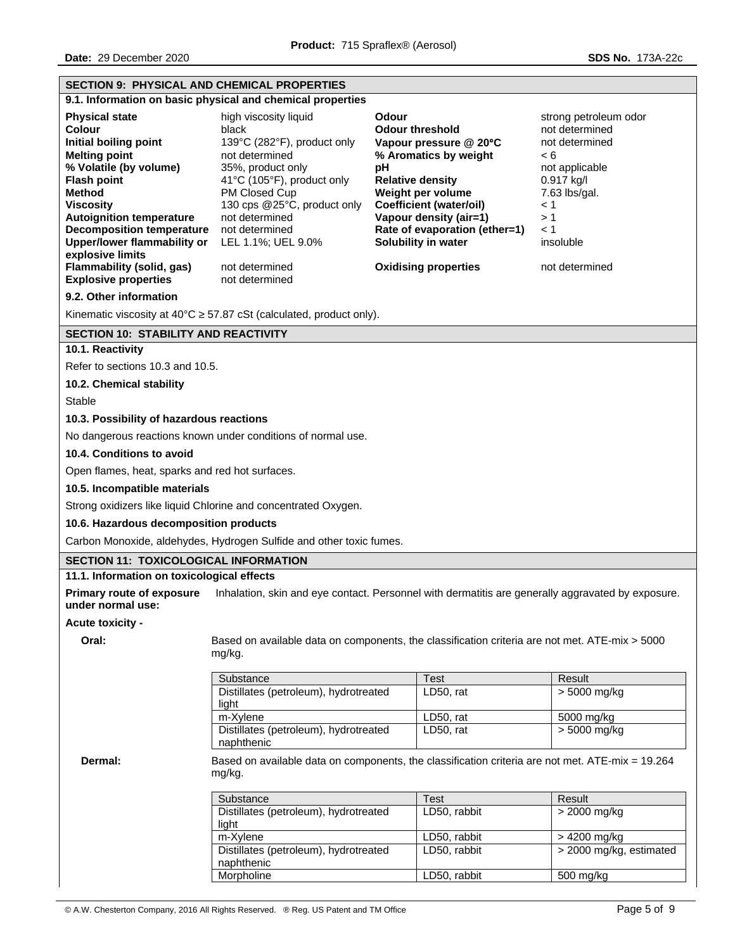| <b>SECTION 9: PHYSICAL AND CHEMICAL PROPERTIES</b>                     |                                                                                                            |                                                                                                   |                                         |  |  |
|------------------------------------------------------------------------|------------------------------------------------------------------------------------------------------------|---------------------------------------------------------------------------------------------------|-----------------------------------------|--|--|
|                                                                        | 9.1. Information on basic physical and chemical properties                                                 |                                                                                                   |                                         |  |  |
| <b>Physical state</b><br>Colour                                        | high viscosity liquid<br>black                                                                             | Odour<br><b>Odour threshold</b>                                                                   | strong petroleum odor<br>not determined |  |  |
| Initial boiling point                                                  | 139°C (282°F), product only                                                                                | Vapour pressure @ 20°C                                                                            | not determined                          |  |  |
| <b>Melting point</b>                                                   | not determined                                                                                             | % Aromatics by weight                                                                             | < 6                                     |  |  |
| % Volatile (by volume)                                                 | 35%, product only                                                                                          | pH                                                                                                | not applicable                          |  |  |
| <b>Flash point</b><br><b>Method</b>                                    | 41°C (105°F), product only<br>PM Closed Cup                                                                | <b>Relative density</b><br>Weight per volume                                                      | 0.917 kg/l<br>7.63 lbs/gal.             |  |  |
| <b>Viscosity</b>                                                       | 130 cps @25°C, product only                                                                                | <b>Coefficient (water/oil)</b>                                                                    | $\leq 1$                                |  |  |
| <b>Autoignition temperature</b>                                        | not determined                                                                                             | Vapour density (air=1)                                                                            | >1                                      |  |  |
| <b>Decomposition temperature</b><br><b>Upper/lower flammability or</b> | not determined<br>LEL 1.1%; UEL 9.0%                                                                       | Rate of evaporation (ether=1)<br>Solubility in water                                              | $\leq 1$<br>insoluble                   |  |  |
| explosive limits                                                       |                                                                                                            |                                                                                                   |                                         |  |  |
| <b>Flammability (solid, gas)</b>                                       | not determined                                                                                             | <b>Oxidising properties</b>                                                                       | not determined                          |  |  |
| <b>Explosive properties</b>                                            | not determined                                                                                             |                                                                                                   |                                         |  |  |
| 9.2. Other information                                                 |                                                                                                            |                                                                                                   |                                         |  |  |
|                                                                        | Kinematic viscosity at $40^{\circ}$ C $\geq$ 57.87 cSt (calculated, product only).                         |                                                                                                   |                                         |  |  |
| <b>SECTION 10: STABILITY AND REACTIVITY</b><br>10.1. Reactivity        |                                                                                                            |                                                                                                   |                                         |  |  |
| Refer to sections 10.3 and 10.5.                                       |                                                                                                            |                                                                                                   |                                         |  |  |
|                                                                        |                                                                                                            |                                                                                                   |                                         |  |  |
| 10.2. Chemical stability<br>Stable                                     |                                                                                                            |                                                                                                   |                                         |  |  |
| 10.3. Possibility of hazardous reactions                               |                                                                                                            |                                                                                                   |                                         |  |  |
|                                                                        | No dangerous reactions known under conditions of normal use.                                               |                                                                                                   |                                         |  |  |
| 10.4. Conditions to avoid                                              |                                                                                                            |                                                                                                   |                                         |  |  |
| Open flames, heat, sparks and red hot surfaces.                        |                                                                                                            |                                                                                                   |                                         |  |  |
| 10.5. Incompatible materials                                           |                                                                                                            |                                                                                                   |                                         |  |  |
|                                                                        | Strong oxidizers like liquid Chlorine and concentrated Oxygen.                                             |                                                                                                   |                                         |  |  |
| 10.6. Hazardous decomposition products                                 |                                                                                                            |                                                                                                   |                                         |  |  |
|                                                                        | Carbon Monoxide, aldehydes, Hydrogen Sulfide and other toxic fumes.                                        |                                                                                                   |                                         |  |  |
| <b>SECTION 11: TOXICOLOGICAL INFORMATION</b>                           |                                                                                                            |                                                                                                   |                                         |  |  |
| 11.1. Information on toxicological effects                             |                                                                                                            |                                                                                                   |                                         |  |  |
| <b>Primary route of exposure</b><br>under normal use:                  |                                                                                                            | Inhalation, skin and eye contact. Personnel with dermatitis are generally aggravated by exposure. |                                         |  |  |
| Acute toxicity -                                                       |                                                                                                            |                                                                                                   |                                         |  |  |
| Oral:                                                                  | Based on available data on components, the classification criteria are not met. ATE-mix > 5000<br>mg/kg.   |                                                                                                   |                                         |  |  |
|                                                                        | Substance                                                                                                  | Test                                                                                              | Result                                  |  |  |
|                                                                        | Distillates (petroleum), hydrotreated                                                                      | LD50, rat                                                                                         | > 5000 mg/kg                            |  |  |
|                                                                        | light<br>m-Xylene                                                                                          | LD50, rat                                                                                         | 5000 mg/kg                              |  |  |
|                                                                        | Distillates (petroleum), hydrotreated                                                                      | LD50, rat                                                                                         | > 5000 mg/kg                            |  |  |
|                                                                        | naphthenic                                                                                                 |                                                                                                   |                                         |  |  |
| Dermal:                                                                | Based on available data on components, the classification criteria are not met. ATE-mix = 19.264<br>mg/kg. |                                                                                                   |                                         |  |  |
|                                                                        | Substance                                                                                                  | <b>Test</b>                                                                                       | Result                                  |  |  |
|                                                                        | Distillates (petroleum), hydrotreated<br>light                                                             | LD50, rabbit                                                                                      | > 2000 mg/kg                            |  |  |
|                                                                        | m-Xylene                                                                                                   | LD50, rabbit                                                                                      | > 4200 mg/kg                            |  |  |
|                                                                        | Distillates (petroleum), hydrotreated                                                                      | LD50, rabbit                                                                                      | > 2000 mg/kg, estimated                 |  |  |
|                                                                        | naphthenic                                                                                                 |                                                                                                   |                                         |  |  |
|                                                                        | Morpholine                                                                                                 | LD50, rabbit                                                                                      | 500 mg/kg                               |  |  |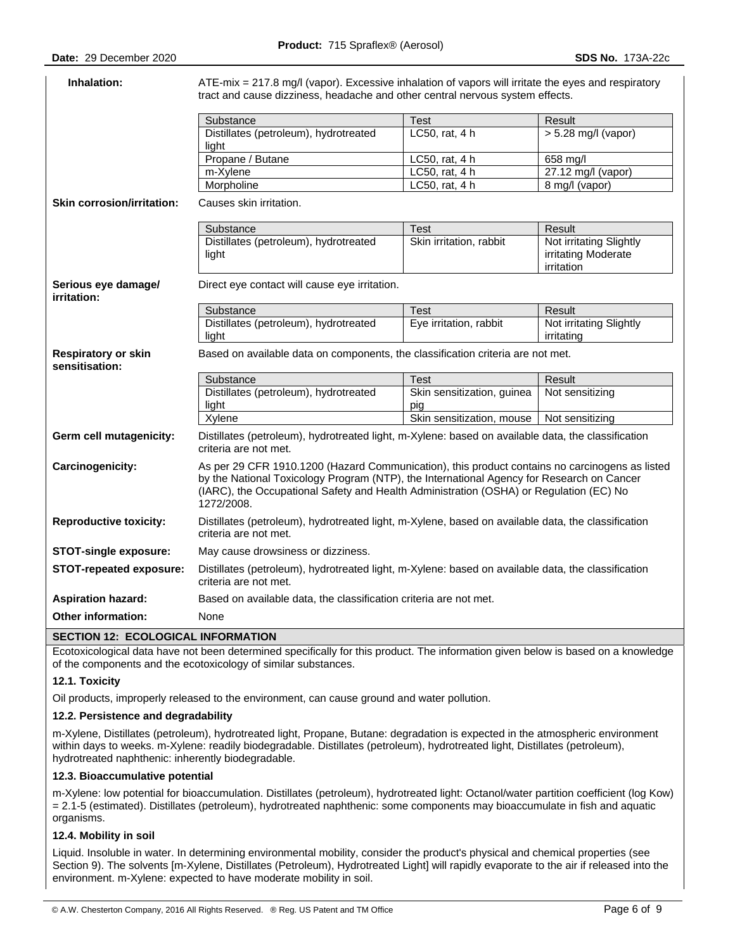| Inhalation:                                  | ATE-mix = 217.8 mg/l (vapor). Excessive inhalation of vapors will irritate the eyes and respiratory<br>tract and cause dizziness, headache and other central nervous system effects.                                                                                                                |                                   |                                                              |  |  |
|----------------------------------------------|-----------------------------------------------------------------------------------------------------------------------------------------------------------------------------------------------------------------------------------------------------------------------------------------------------|-----------------------------------|--------------------------------------------------------------|--|--|
|                                              | Substance                                                                                                                                                                                                                                                                                           | <b>Test</b>                       | Result                                                       |  |  |
|                                              | Distillates (petroleum), hydrotreated<br>light                                                                                                                                                                                                                                                      | LC50, rat, 4 h                    | $> 5.28$ mg/l (vapor)                                        |  |  |
|                                              | Propane / Butane                                                                                                                                                                                                                                                                                    | LC50, rat, 4 h                    | 658 mg/l                                                     |  |  |
|                                              | m-Xylene                                                                                                                                                                                                                                                                                            | LC50, rat, 4 h                    | 27.12 mg/l (vapor)                                           |  |  |
|                                              | Morpholine                                                                                                                                                                                                                                                                                          | LC50, rat, 4 h                    | 8 mg/l (vapor)                                               |  |  |
| <b>Skin corrosion/irritation:</b>            | Causes skin irritation.                                                                                                                                                                                                                                                                             |                                   |                                                              |  |  |
|                                              | Substance                                                                                                                                                                                                                                                                                           | <b>Test</b>                       | Result                                                       |  |  |
|                                              | Distillates (petroleum), hydrotreated<br>light                                                                                                                                                                                                                                                      | Skin irritation, rabbit           | Not irritating Slightly<br>irritating Moderate<br>irritation |  |  |
| Serious eye damagel<br>irritation:           | Direct eye contact will cause eye irritation.                                                                                                                                                                                                                                                       |                                   |                                                              |  |  |
|                                              | Substance                                                                                                                                                                                                                                                                                           | <b>Test</b>                       | Result                                                       |  |  |
|                                              | Distillates (petroleum), hydrotreated<br>light                                                                                                                                                                                                                                                      | Eye irritation, rabbit            | Not irritating Slightly<br>irritating                        |  |  |
| <b>Respiratory or skin</b><br>sensitisation: | Based on available data on components, the classification criteria are not met.                                                                                                                                                                                                                     |                                   |                                                              |  |  |
|                                              | Substance                                                                                                                                                                                                                                                                                           | <b>Test</b>                       | Result                                                       |  |  |
|                                              | Distillates (petroleum), hydrotreated<br>light                                                                                                                                                                                                                                                      | Skin sensitization, guinea<br>pig | Not sensitizing                                              |  |  |
|                                              | Xylene                                                                                                                                                                                                                                                                                              | Skin sensitization, mouse         | Not sensitizing                                              |  |  |
| Germ cell mutagenicity:                      | Distillates (petroleum), hydrotreated light, m-Xylene: based on available data, the classification<br>criteria are not met.                                                                                                                                                                         |                                   |                                                              |  |  |
| Carcinogenicity:                             | As per 29 CFR 1910.1200 (Hazard Communication), this product contains no carcinogens as listed<br>by the National Toxicology Program (NTP), the International Agency for Research on Cancer<br>(IARC), the Occupational Safety and Health Administration (OSHA) or Regulation (EC) No<br>1272/2008. |                                   |                                                              |  |  |
| <b>Reproductive toxicity:</b>                | Distillates (petroleum), hydrotreated light, m-Xylene, based on available data, the classification<br>criteria are not met.                                                                                                                                                                         |                                   |                                                              |  |  |
| <b>STOT-single exposure:</b>                 | May cause drowsiness or dizziness.                                                                                                                                                                                                                                                                  |                                   |                                                              |  |  |
| STOT-repeated exposure:                      | Distillates (petroleum), hydrotreated light, m-Xylene: based on available data, the classification<br>criteria are not met.                                                                                                                                                                         |                                   |                                                              |  |  |
| <b>Aspiration hazard:</b>                    | Based on available data, the classification criteria are not met.                                                                                                                                                                                                                                   |                                   |                                                              |  |  |
| Other information:                           | None                                                                                                                                                                                                                                                                                                |                                   |                                                              |  |  |
| SECTION 12: ECOLOGICAL INFORMATION           |                                                                                                                                                                                                                                                                                                     |                                   |                                                              |  |  |

**SECTION 12: ECOLOGICAL INFORMATION** 

Ecotoxicological data have not been determined specifically for this product. The information given below is based on a knowledge of the components and the ecotoxicology of similar substances.

# **12.1. Toxicity**

Oil products, improperly released to the environment, can cause ground and water pollution.

#### **12.2. Persistence and degradability**

m-Xylene, Distillates (petroleum), hydrotreated light, Propane, Butane: degradation is expected in the atmospheric environment within days to weeks. m-Xylene: readily biodegradable. Distillates (petroleum), hydrotreated light, Distillates (petroleum), hydrotreated naphthenic: inherently biodegradable.

#### **12.3. Bioaccumulative potential**

m-Xylene: low potential for bioaccumulation. Distillates (petroleum), hydrotreated light: Octanol/water partition coefficient (log Kow) = 2.1-5 (estimated). Distillates (petroleum), hydrotreated naphthenic: some components may bioaccumulate in fish and aquatic organisms.

# **12.4. Mobility in soil**

Liquid. Insoluble in water. In determining environmental mobility, consider the product's physical and chemical properties (see Section 9). The solvents [m-Xylene, Distillates (Petroleum), Hydrotreated Light] will rapidly evaporate to the air if released into the environment. m-Xylene: expected to have moderate mobility in soil.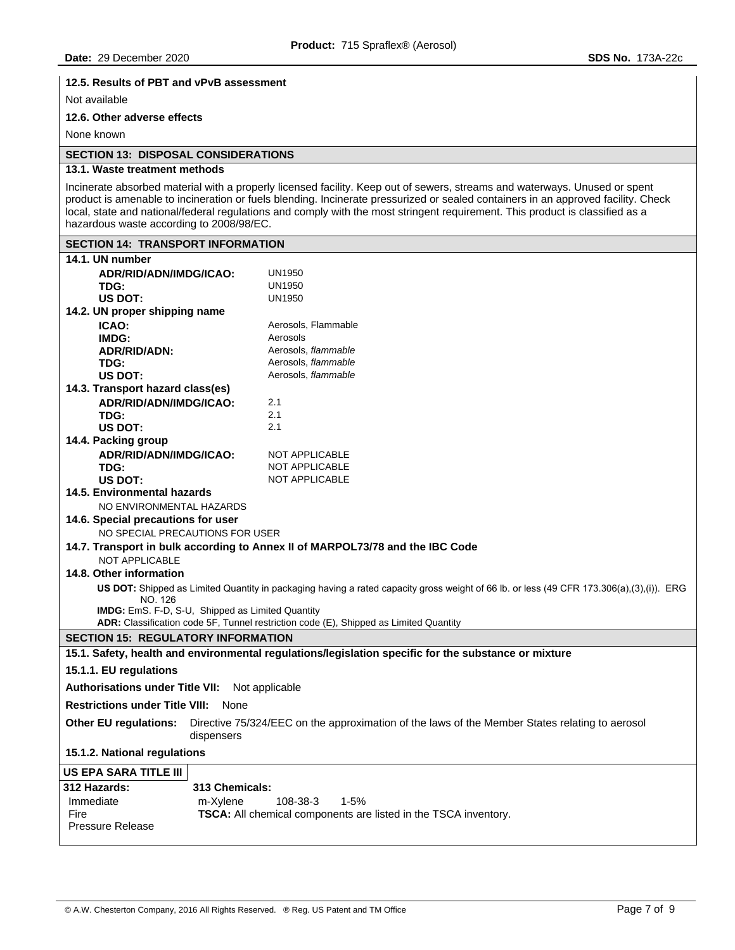#### **12.5. Results of PBT and vPvB assessment**

Not available

# **12.6. Other adverse effects**

None known

# **SECTION 13: DISPOSAL CONSIDERATIONS**

# **13.1. Waste treatment methods**

Incinerate absorbed material with a properly licensed facility. Keep out of sewers, streams and waterways. Unused or spent product is amenable to incineration or fuels blending. Incinerate pressurized or sealed containers in an approved facility. Check local, state and national/federal regulations and comply with the most stringent requirement. This product is classified as a hazardous waste according to 2008/98/EC.

| <b>SECTION 14: TRANSPORT INFORMATION</b>                                                                                                     |                                                                                                                                          |  |  |  |
|----------------------------------------------------------------------------------------------------------------------------------------------|------------------------------------------------------------------------------------------------------------------------------------------|--|--|--|
| 14.1. UN number                                                                                                                              |                                                                                                                                          |  |  |  |
| ADR/RID/ADN/IMDG/ICAO:                                                                                                                       | <b>UN1950</b>                                                                                                                            |  |  |  |
| TDG:                                                                                                                                         | <b>UN1950</b>                                                                                                                            |  |  |  |
| <b>US DOT:</b>                                                                                                                               | <b>UN1950</b>                                                                                                                            |  |  |  |
| 14.2. UN proper shipping name                                                                                                                |                                                                                                                                          |  |  |  |
| ICAO:                                                                                                                                        | Aerosols, Flammable                                                                                                                      |  |  |  |
| IMDG:                                                                                                                                        | Aerosols                                                                                                                                 |  |  |  |
| <b>ADR/RID/ADN:</b>                                                                                                                          | Aerosols, flammable                                                                                                                      |  |  |  |
| TDG:                                                                                                                                         | Aerosols, flammable                                                                                                                      |  |  |  |
| US DOT:                                                                                                                                      | Aerosols, flammable                                                                                                                      |  |  |  |
| 14.3. Transport hazard class(es)                                                                                                             |                                                                                                                                          |  |  |  |
| ADR/RID/ADN/IMDG/ICAO:                                                                                                                       | 2.1                                                                                                                                      |  |  |  |
| TDG:                                                                                                                                         | 2.1                                                                                                                                      |  |  |  |
| US DOT:                                                                                                                                      | 2.1                                                                                                                                      |  |  |  |
| 14.4. Packing group                                                                                                                          |                                                                                                                                          |  |  |  |
| ADR/RID/ADN/IMDG/ICAO:                                                                                                                       | NOT APPLICABLE                                                                                                                           |  |  |  |
| TDG:                                                                                                                                         | <b>NOT APPLICABLE</b>                                                                                                                    |  |  |  |
| US DOT:                                                                                                                                      | NOT APPLICABLE                                                                                                                           |  |  |  |
| <b>14.5. Environmental hazards</b>                                                                                                           |                                                                                                                                          |  |  |  |
| NO ENVIRONMENTAL HAZARDS                                                                                                                     |                                                                                                                                          |  |  |  |
| 14.6. Special precautions for user                                                                                                           |                                                                                                                                          |  |  |  |
| NO SPECIAL PRECAUTIONS FOR USER                                                                                                              |                                                                                                                                          |  |  |  |
|                                                                                                                                              | 14.7. Transport in bulk according to Annex II of MARPOL73/78 and the IBC Code                                                            |  |  |  |
| <b>NOT APPLICABLE</b>                                                                                                                        |                                                                                                                                          |  |  |  |
| 14.8. Other information                                                                                                                      |                                                                                                                                          |  |  |  |
| NO. 126                                                                                                                                      | US DOT: Shipped as Limited Quantity in packaging having a rated capacity gross weight of 66 lb. or less (49 CFR 173.306(a),(3),(i)). ERG |  |  |  |
| <b>IMDG:</b> EmS. F-D, S-U, Shipped as Limited Quantity                                                                                      |                                                                                                                                          |  |  |  |
|                                                                                                                                              | ADR: Classification code 5F, Tunnel restriction code (E), Shipped as Limited Quantity                                                    |  |  |  |
| <b>SECTION 15: REGULATORY INFORMATION</b>                                                                                                    |                                                                                                                                          |  |  |  |
|                                                                                                                                              | 15.1. Safety, health and environmental regulations/legislation specific for the substance or mixture                                     |  |  |  |
| 15.1.1. EU regulations                                                                                                                       |                                                                                                                                          |  |  |  |
| <b>Authorisations under Title VII:</b><br>Not applicable                                                                                     |                                                                                                                                          |  |  |  |
| <b>Restrictions under Title VIII:</b> None                                                                                                   |                                                                                                                                          |  |  |  |
| <b>Other EU regulations:</b><br>Directive 75/324/EEC on the approximation of the laws of the Member States relating to aerosol<br>dispensers |                                                                                                                                          |  |  |  |
| 15.1.2. National regulations                                                                                                                 |                                                                                                                                          |  |  |  |
| <b>US EPA SARA TITLE III</b>                                                                                                                 |                                                                                                                                          |  |  |  |
| <b>312 Hazards:</b><br>313 Chemicals:                                                                                                        |                                                                                                                                          |  |  |  |
| Immediate<br>m-Xylene                                                                                                                        | 108-38-3<br>1-5%                                                                                                                         |  |  |  |
| Fire                                                                                                                                         | TSCA: All chemical components are listed in the TSCA inventory.                                                                          |  |  |  |
| <b>Pressure Release</b>                                                                                                                      |                                                                                                                                          |  |  |  |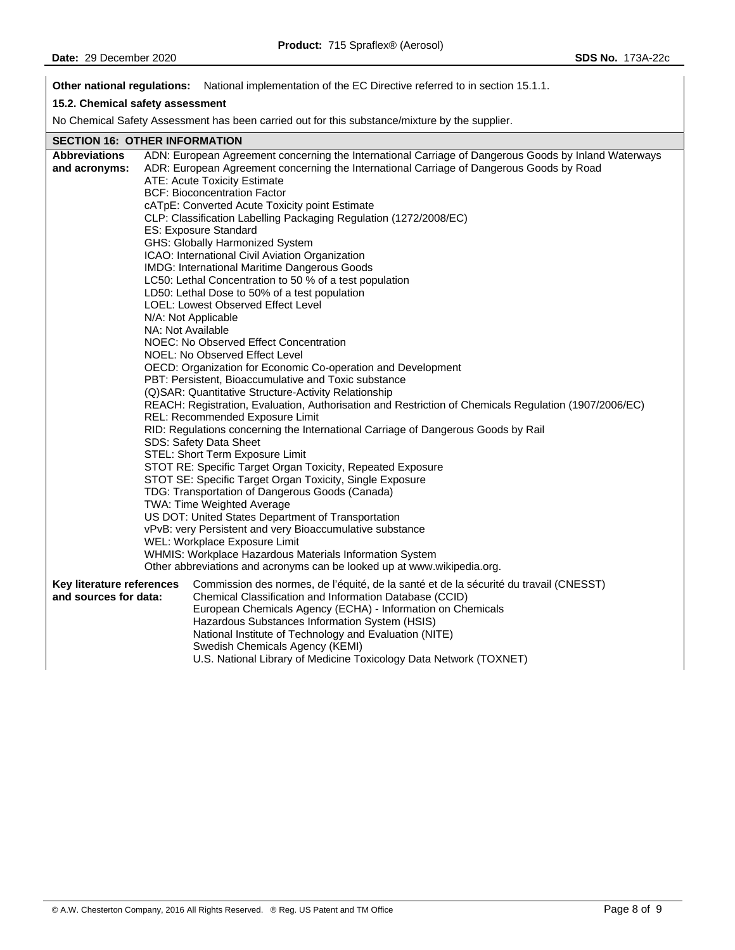**Other national regulations:** National implementation of the EC Directive referred to in section 15.1.1.

# **15.2. Chemical safety assessment**

No Chemical Safety Assessment has been carried out for this substance/mixture by the supplier.

# **SECTION 16: OTHER INFORMATION**

| <b>Abbreviations</b>      | ADN: European Agreement concerning the International Carriage of Dangerous Goods by Inland Waterways                 |
|---------------------------|----------------------------------------------------------------------------------------------------------------------|
| and acronyms:             | ADR: European Agreement concerning the International Carriage of Dangerous Goods by Road                             |
|                           | ATE: Acute Toxicity Estimate                                                                                         |
|                           | <b>BCF: Bioconcentration Factor</b>                                                                                  |
|                           | cATpE: Converted Acute Toxicity point Estimate                                                                       |
|                           | CLP: Classification Labelling Packaging Regulation (1272/2008/EC)                                                    |
|                           | ES: Exposure Standard                                                                                                |
|                           | GHS: Globally Harmonized System                                                                                      |
|                           | ICAO: International Civil Aviation Organization                                                                      |
|                           | <b>IMDG: International Maritime Dangerous Goods</b>                                                                  |
|                           | LC50: Lethal Concentration to 50 % of a test population                                                              |
|                           | LD50: Lethal Dose to 50% of a test population                                                                        |
|                           | LOEL: Lowest Observed Effect Level                                                                                   |
|                           | N/A: Not Applicable                                                                                                  |
|                           | NA: Not Available                                                                                                    |
|                           | NOEC: No Observed Effect Concentration                                                                               |
|                           | NOEL: No Observed Effect Level                                                                                       |
|                           | OECD: Organization for Economic Co-operation and Development<br>PBT: Persistent, Bioaccumulative and Toxic substance |
|                           | (Q)SAR: Quantitative Structure-Activity Relationship                                                                 |
|                           | REACH: Registration, Evaluation, Authorisation and Restriction of Chemicals Regulation (1907/2006/EC)                |
|                           | REL: Recommended Exposure Limit                                                                                      |
|                           | RID: Regulations concerning the International Carriage of Dangerous Goods by Rail                                    |
|                           | SDS: Safety Data Sheet                                                                                               |
|                           | STEL: Short Term Exposure Limit                                                                                      |
|                           | STOT RE: Specific Target Organ Toxicity, Repeated Exposure                                                           |
|                           | STOT SE: Specific Target Organ Toxicity, Single Exposure                                                             |
|                           | TDG: Transportation of Dangerous Goods (Canada)                                                                      |
|                           | TWA: Time Weighted Average                                                                                           |
|                           | US DOT: United States Department of Transportation                                                                   |
|                           | vPvB: very Persistent and very Bioaccumulative substance                                                             |
|                           | WEL: Workplace Exposure Limit                                                                                        |
|                           | WHMIS: Workplace Hazardous Materials Information System                                                              |
|                           | Other abbreviations and acronyms can be looked up at www.wikipedia.org.                                              |
| Key literature references | Commission des normes, de l'équité, de la santé et de la sécurité du travail (CNESST)                                |
| and sources for data:     | Chemical Classification and Information Database (CCID)                                                              |
|                           | European Chemicals Agency (ECHA) - Information on Chemicals                                                          |
|                           | Hazardous Substances Information System (HSIS)                                                                       |
|                           | National Institute of Technology and Evaluation (NITE)                                                               |
|                           | Swedish Chemicals Agency (KEMI)                                                                                      |
|                           | U.S. National Library of Medicine Toxicology Data Network (TOXNET)                                                   |